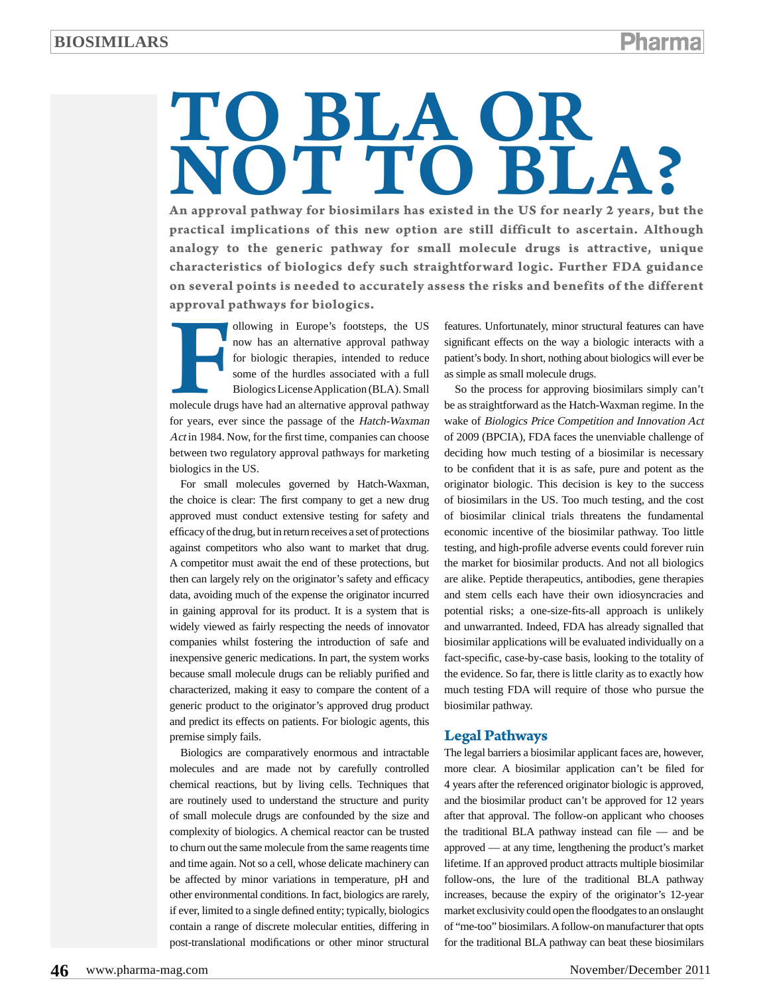# TO BLA OR **OT TO BLA?**

**An approval pathway for biosimilars has existed in the US for nearly 2 years, but the practical implications of this new option are still difficult to ascertain. Although analogy to the generic pathway for small molecule drugs is attractive, unique characteristics of biologics defy such straightforward logic. Further FDA guidance on several points is needed to accurately assess the risks and benefits of the different approval pathways for biologics.**

on several<br>approval p ollowing in Europe's footsteps, the US now has an alternative approval pathway for biologic therapies, intended to reduce some of the hurdles associated with a full Biologics License Application (BLA). Small molecule drugs have had an alternative approval pathway for years, ever since the passage of the Hatch-Waxman Act in 1984. Now, for the first time, companies can choose between two regulatory approval pathways for marketing biologics in the US.

For small molecules governed by Hatch-Waxman, the choice is clear: The first company to get a new drug approved must conduct extensive testing for safety and efficacy of the drug, but in return receives a set of protections against competitors who also want to market that drug. A competitor must await the end of these protections, but then can largely rely on the originator's safety and efficacy data, avoiding much of the expense the originator incurred in gaining approval for its product. It is a system that is widely viewed as fairly respecting the needs of innovator companies whilst fostering the introduction of safe and inexpensive generic medications. In part, the system works because small molecule drugs can be reliably purified and characterized, making it easy to compare the content of a generic product to the originator's approved drug product and predict its effects on patients. For biologic agents, this premise simply fails.

Biologics are comparatively enormous and intractable molecules and are made not by carefully controlled chemical reactions, but by living cells. Techniques that are routinely used to understand the structure and purity of small molecule drugs are confounded by the size and complexity of biologics. A chemical reactor can be trusted to churn out the same molecule from the same reagents time and time again. Not so a cell, whose delicate machinery can be affected by minor variations in temperature, pH and other environmental conditions. In fact, biologics are rarely, if ever, limited to a single defined entity; typically, biologics contain a range of discrete molecular entities, differing in post-translational modifications or other minor structural features. Unfortunately, minor structural features can have significant effects on the way a biologic interacts with a patient's body. In short, nothing about biologics will ever be as simple as small molecule drugs.

So the process for approving biosimilars simply can't be as straightforward as the Hatch-Waxman regime. In the wake of Biologics Price Competition and Innovation Act of 2009 (BPCIA), FDA faces the unenviable challenge of deciding how much testing of a biosimilar is necessary to be confident that it is as safe, pure and potent as the originator biologic. This decision is key to the success of biosimilars in the US. Too much testing, and the cost of biosimilar clinical trials threatens the fundamental economic incentive of the biosimilar pathway. Too little testing, and high-profile adverse events could forever ruin the market for biosimilar products. And not all biologics are alike. Peptide therapeutics, antibodies, gene therapies and stem cells each have their own idiosyncracies and potential risks; a one-size-fits-all approach is unlikely and unwarranted. Indeed, FDA has already signalled that biosimilar applications will be evaluated individually on a fact-specific, case-by-case basis, looking to the totality of the evidence. So far, there is little clarity as to exactly how much testing FDA will require of those who pursue the biosimilar pathway.

### **Legal Pathways**

The legal barriers a biosimilar applicant faces are, however, more clear. A biosimilar application can't be filed for 4 years after the referenced originator biologic is approved, and the biosimilar product can't be approved for 12 years after that approval. The follow-on applicant who chooses the traditional BLA pathway instead can file — and be approved — at any time, lengthening the product's market lifetime. If an approved product attracts multiple biosimilar follow-ons, the lure of the traditional BLA pathway increases, because the expiry of the originator's 12-year market exclusivity could open the floodgates to an onslaught of "me-too" biosimilars. A follow-on manufacturer that opts for the traditional BLA pathway can beat these biosimilars